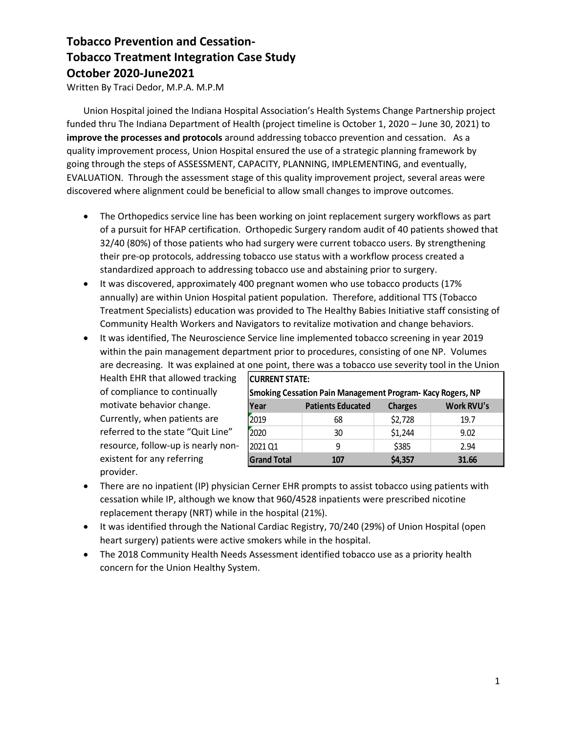## **Tobacco Prevention and Cessation-Tobacco Treatment Integration Case Study October 2020-June2021**

Written By Traci Dedor, M.P.A. M.P.M

Union Hospital joined the Indiana Hospital Association's Health Systems Change Partnership project funded thru The Indiana Department of Health (project timeline is October 1, 2020 – June 30, 2021) to **improve the processes and protocols** around addressing tobacco prevention and cessation. As a quality improvement process, Union Hospital ensured the use of a strategic planning framework by going through the steps of ASSESSMENT, CAPACITY, PLANNING, IMPLEMENTING, and eventually, EVALUATION. Through the assessment stage of this quality improvement project, several areas were discovered where alignment could be beneficial to allow small changes to improve outcomes.

- The Orthopedics service line has been working on joint replacement surgery workflows as part of a pursuit for HFAP certification. Orthopedic Surgery random audit of 40 patients showed that 32/40 (80%) of those patients who had surgery were current tobacco users. By strengthening their pre-op protocols, addressing tobacco use status with a workflow process created a standardized approach to addressing tobacco use and abstaining prior to surgery.
- It was discovered, approximately 400 pregnant women who use tobacco products (17% annually) are within Union Hospital patient population. Therefore, additional TTS (Tobacco Treatment Specialists) education was provided to The Healthy Babies Initiative staff consisting of Community Health Workers and Navigators to revitalize motivation and change behaviors.
- It was identified, The Neuroscience Service line implemented tobacco screening in year 2019 within the pain management department prior to procedures, consisting of one NP. Volumes are decreasing. It was explained at one point, there was a tobacco use severity tool in the Union

Health EHR that allowed tracking of compliance to continually motivate behavior change. Currently, when patients are referred to the state "Quit Line" resource, follow-up is nearly nonexistent for any referring provider.

| CURRENT STATE:                                                   |                          |                |                   |  |  |  |  |  |  |  |
|------------------------------------------------------------------|--------------------------|----------------|-------------------|--|--|--|--|--|--|--|
| <b>Smoking Cessation Pain Management Program-Kacy Rogers, NP</b> |                          |                |                   |  |  |  |  |  |  |  |
| <b>Year</b>                                                      | <b>Patients Educated</b> | <b>Charges</b> | <b>Work RVU's</b> |  |  |  |  |  |  |  |
| 2019                                                             | 68                       | \$2,728        | 19.7              |  |  |  |  |  |  |  |
| 2020                                                             | 30                       | \$1,244        | 9.02              |  |  |  |  |  |  |  |
| 2021 Q1                                                          | 9                        | \$385          | 2.94              |  |  |  |  |  |  |  |
| <b>Grand Total</b>                                               | 107                      | \$4,357        | 31.66             |  |  |  |  |  |  |  |

- There are no inpatient (IP) physician Cerner EHR prompts to assist tobacco using patients with cessation while IP, although we know that 960/4528 inpatients were prescribed nicotine replacement therapy (NRT) while in the hospital (21%).
- It was identified through the National Cardiac Registry, 70/240 (29%) of Union Hospital (open heart surgery) patients were active smokers while in the hospital.
- The 2018 Community Health Needs Assessment identified tobacco use as a priority health concern for the Union Healthy System.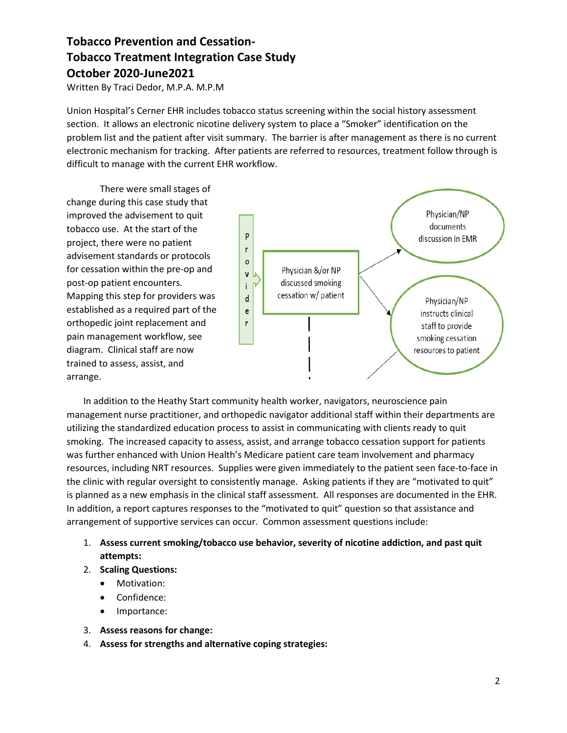## **Tobacco Prevention and Cessation-Tobacco Treatment Integration Case Study October 2020-June2021**

Written By Traci Dedor, M.P.A. M.P.M

Union Hospital's Cerner EHR includes tobacco status screening within the social history assessment section. It allows an electronic nicotine delivery system to place a "Smoker" identification on the problem list and the patient after visit summary. The barrier is after management as there is no current electronic mechanism for tracking. After patients are referred to resources, treatment follow through is difficult to manage with the current EHR workflow.

There were small stages of change during this case study that improved the advisement to quit tobacco use. At the start of the project, there were no patient advisement standards or protocols for cessation within the pre-op and post-op patient encounters. Mapping this step for providers was established as a required part of the orthopedic joint replacement and pain management workflow, see diagram. Clinical staff are now trained to assess, assist, and arrange.



In addition to the Heathy Start community health worker, navigators, neuroscience pain management nurse practitioner, and orthopedic navigator additional staff within their departments are utilizing the standardized education process to assist in communicating with clients ready to quit smoking. The increased capacity to assess, assist, and arrange tobacco cessation support for patients was further enhanced with Union Health's Medicare patient care team involvement and pharmacy resources, including NRT resources. Supplies were given immediately to the patient seen face-to-face in the clinic with regular oversight to consistently manage. Asking patients if they are "motivated to quit" is planned as a new emphasis in the clinical staff assessment. All responses are documented in the EHR. In addition, a report captures responses to the "motivated to quit" question so that assistance and arrangement of supportive services can occur. Common assessment questions include:

- 1. **Assess current smoking/tobacco use behavior, severity of nicotine addiction, and past quit attempts:**
- 2. **Scaling Questions:**
	- Motivation:
	- Confidence:
	- Importance:
- 3. **Assess reasons for change:**
- 4. **Assess for strengths and alternative coping strategies:**